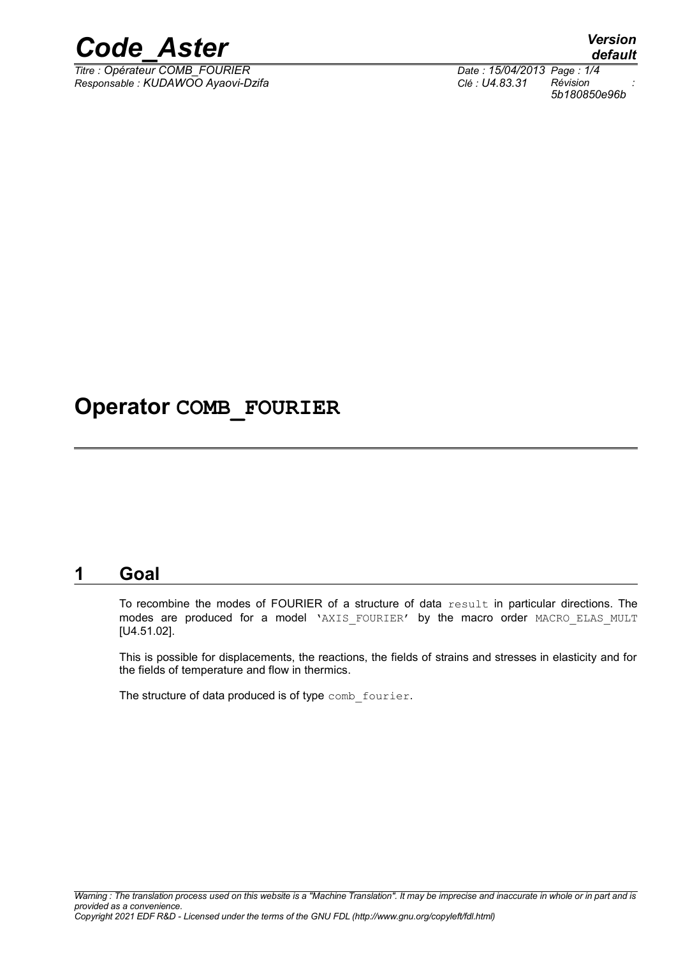

 $\overline{T}$ itre : Opérateur COMB\_FOURIER *Responsable : KUDAWOO Ayaovi-Dzifa Clé : U4.83.31 Révision :*

*5b180850e96b*

### **Operator COMB\_FOURIER**

#### **1 Goal**

To recombine the modes of FOURIER of a structure of data result in particular directions. The modes are produced for a model 'AXIS FOURIER' by the macro order MACRO ELAS MULT [U4.51.02].

This is possible for displacements, the reactions, the fields of strains and stresses in elasticity and for the fields of temperature and flow in thermics.

The structure of data produced is of type comb fourier.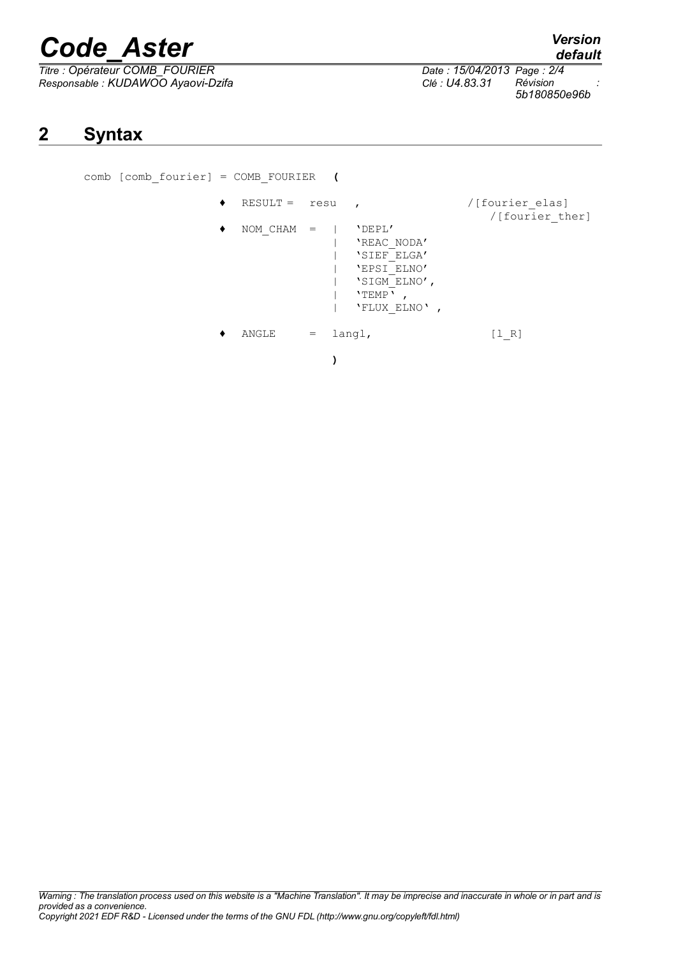# *Code\_Aster Version*

**2 Syntax**

*Titre : Opérateur COMB\_FOURIER Date : 15/04/2013 Page : 2/4 Responsable : KUDAWOO Ayaovi-Dzifa Clé : U4.83.31 Révision :*

comb [comb\_fourier] = COMB\_FOURIER **(**

| $RESULT =$   | resu | $\mathbf{r}$                                                                                 | /[fourier elas]<br>/[fourier ther] |
|--------------|------|----------------------------------------------------------------------------------------------|------------------------------------|
| $NOM CHAM =$ |      | 'DEPL'<br>'REAC NODA'<br>'SIEF ELGA'<br>'EPSI ELNO'<br>'SIGM ELNO',<br>'TEMP'<br>'FLUX ELNO' |                                    |
| ANGLE        | $=$  | langl,                                                                                       | [1 R]                              |

*5b180850e96b*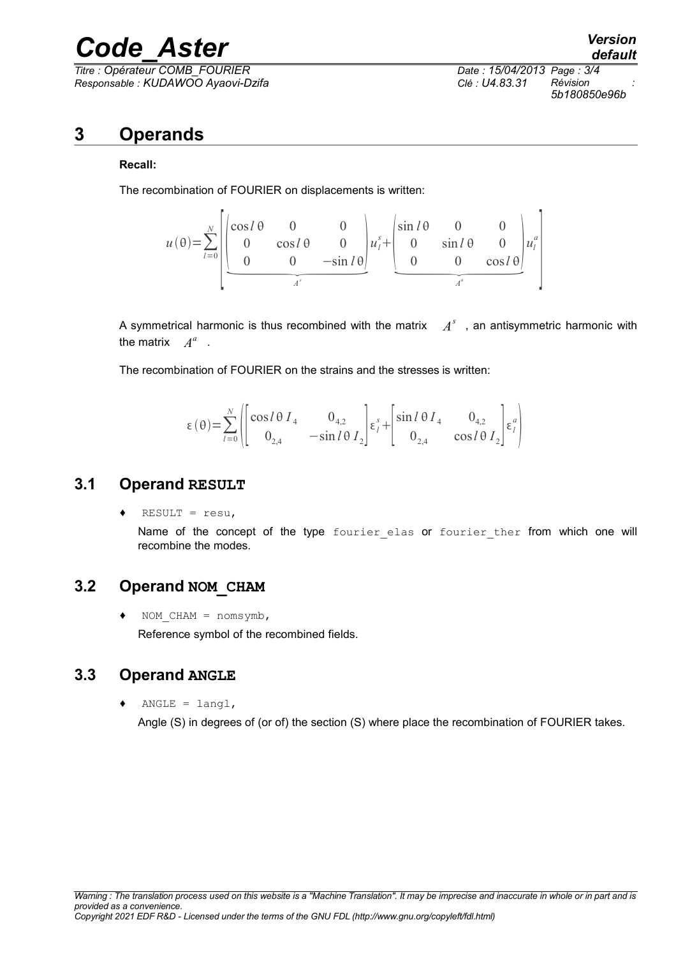# *Code\_Aster Version*

 $\overline{T}$ *Titre : Opérateur COMB\_FOURIER Responsable : KUDAWOO Ayaovi-Dzifa Clé : U4.83.31 Révision :*

*5b180850e96b*

### **3 Operands**

#### **Recall:**

The recombination of FOURIER on displacements is written:

combination of FOURIER on displacements is written:

\n
$$
u(\theta) = \sum_{l=0}^{N} \begin{bmatrix} \cos l\theta & 0 & 0 \\ 0 & \cos l\theta & 0 \\ 0 & 0 & -\sin l\theta \end{bmatrix} u_{l}^{s} + \begin{bmatrix} \sin l\theta & 0 & 0 \\ 0 & \sin l\theta & 0 \\ 0 & 0 & \cos l\theta \end{bmatrix} u_{l}^{a}
$$

A symmetrical harmonic is thus recombined with the matrix  $A^s$ , an antisymmetric harmonic with the matrix  $A^a$ .

The recombination of FOURIER on the strains and the stresses is written:

$$
\varepsilon(\theta) = \sum_{l=0}^{N} \left( \begin{bmatrix} \cos l\theta I_4 & 0_{4,2} \\ 0_{2,4} & -\sin l\theta I_2 \end{bmatrix} \varepsilon_l^s + \begin{bmatrix} \sin l\theta I_4 & 0_{4,2} \\ 0_{2,4} & \cos l\theta I_2 \end{bmatrix} \varepsilon_l^a \right)
$$

#### **3.1 Operand RESULT**

 $RESULT = resu,$ 

Name of the concept of the type fourier elas or fourier ther from which one will recombine the modes.

#### **3.2 Operand NOM\_CHAM**

 $\bullet$  NOM CHAM = nomsymb, Reference symbol of the recombined fields.

#### **3.3 Operand ANGLE**

 $ANGLE = langl,$ 

Angle (S) in degrees of (or of) the section (S) where place the recombination of FOURIER takes.